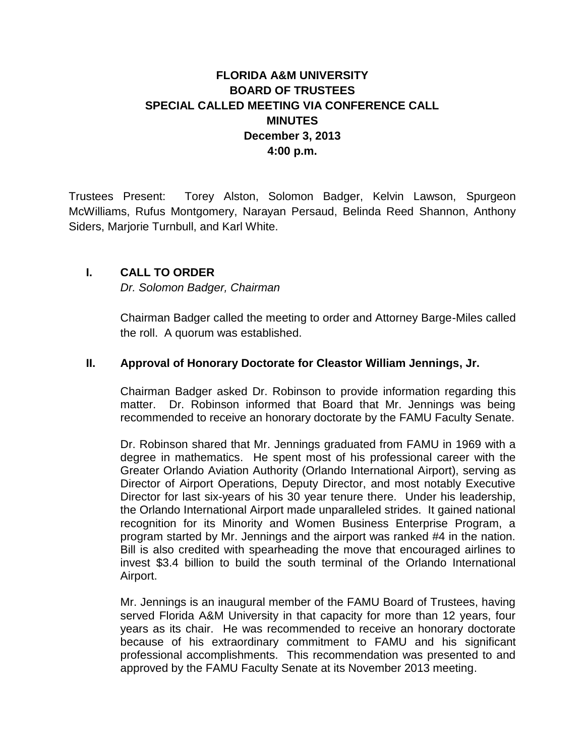## **FLORIDA A&M UNIVERSITY BOARD OF TRUSTEES SPECIAL CALLED MEETING VIA CONFERENCE CALL MINUTES December 3, 2013 4:00 p.m.**

Trustees Present: Torey Alston, Solomon Badger, Kelvin Lawson, Spurgeon McWilliams, Rufus Montgomery, Narayan Persaud, Belinda Reed Shannon, Anthony Siders, Marjorie Turnbull, and Karl White.

## **I. CALL TO ORDER**

*Dr. Solomon Badger, Chairman*

Chairman Badger called the meeting to order and Attorney Barge-Miles called the roll. A quorum was established.

## **II. Approval of Honorary Doctorate for Cleastor William Jennings, Jr.**

Chairman Badger asked Dr. Robinson to provide information regarding this matter. Dr. Robinson informed that Board that Mr. Jennings was being recommended to receive an honorary doctorate by the FAMU Faculty Senate.

Dr. Robinson shared that Mr. Jennings graduated from FAMU in 1969 with a degree in mathematics. He spent most of his professional career with the Greater Orlando Aviation Authority (Orlando International Airport), serving as Director of Airport Operations, Deputy Director, and most notably Executive Director for last six-years of his 30 year tenure there. Under his leadership, the Orlando International Airport made unparalleled strides. It gained national recognition for its Minority and Women Business Enterprise Program, a program started by Mr. Jennings and the airport was ranked #4 in the nation. Bill is also credited with spearheading the move that encouraged airlines to invest \$3.4 billion to build the south terminal of the Orlando International Airport.

Mr. Jennings is an inaugural member of the FAMU Board of Trustees, having served Florida A&M University in that capacity for more than 12 years, four years as its chair. He was recommended to receive an honorary doctorate because of his extraordinary commitment to FAMU and his significant professional accomplishments. This recommendation was presented to and approved by the FAMU Faculty Senate at its November 2013 meeting.